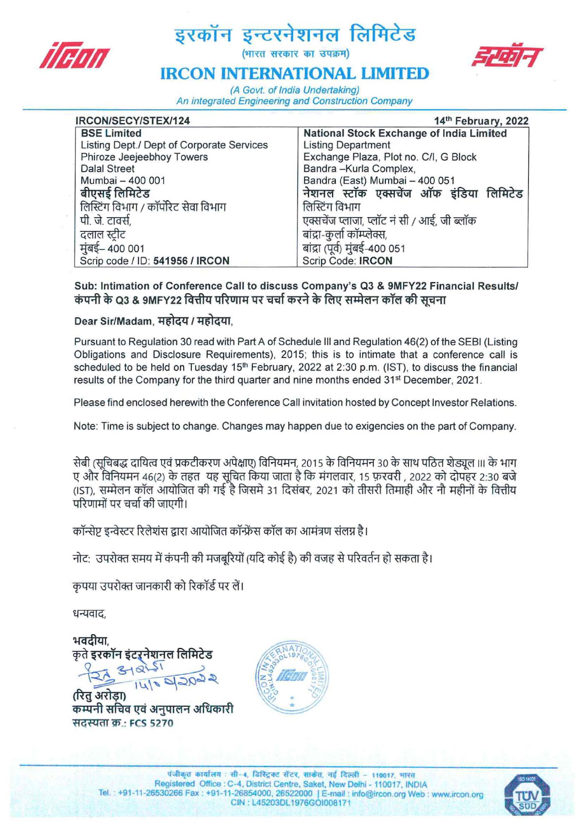

# द्धरकॉन इन्टरनेशनल लिमिटेड<br>*||संग्रा*



## **IRCON INTERNATIONAL LIMITED**

(A Govt. of India Undertaking) An integrated Engineering and Construction Company

| IRCON/SECY/STEX/124                       | 14th February, 2022                             |
|-------------------------------------------|-------------------------------------------------|
| <b>BSE Limited</b>                        | <b>National Stock Exchange of India Limited</b> |
| Listing Dept./ Dept of Corporate Services | <b>Listing Department</b>                       |
| Phiroze Jeejeebhoy Towers                 | Exchange Plaza, Plot no. C/I, G Block           |
| <b>Dalal Street</b>                       | Bandra-Kurla Complex,                           |
| Mumbai - 400 001                          | Bandra (East) Mumbai - 400 051                  |
| बीएसई लिमिटेड                             | नेशनल स्टॉक एक्सचेंज ऑफ इंडिया लिमिटेड          |
| लिस्टिंग विभाग / कॉर्पोरेट सेवा विभाग     | लिस्टिंग विभाग                                  |
| पी. जे. टावर्स,                           | एक्सचेंज प्लाजा, प्लॉट नं सी / आई, जी ब्लॉक     |
| दलाल स्टीट                                | बांद्रा-कुर्ला कॉम्प्लेक्स,                     |
| मुंबई– 400 001                            | बांद्रा (पूर्व) मुंबई-400 051                   |
| Scrip code / ID: 541956 / IRCON           | Scrip Code: IRCON                               |

Sub: Intimation of Conference Call to discuss Company's Q3 & 9MFY22 Financial Results/ कंपनी के Q3 & 9MFY22 वित्तीय परिणाम पर चर्चा करने के लिए सम्मेलन कॉल की सचना

### Dear Sir/Madam, महोदय / महोदया,

Pursuant to Regulation 30 read with Part A of Schedule III and Regulation 46(2) of the SESI (Listing Obligations and Disclosure Requirements), 2015; this is to intimate that a conference call is scheduled to be held on Tuesday  $15<sup>th</sup>$  February, 2022 at 2:30 p.m. (IST), to discuss the financial results of the Company for the third quarter and nine months ended 31<sup>st</sup> December, 2021.

Please find enclosed herewith the Conference Call invitation hosted by Concept Investor Relations.

Note: Time is subject to change. Changes may happen due to exigencies on the part of Company.

सेबी (सुचिबद्ध दायित्व एवं प्रकटीकरण अपेक्षाए) विनियमन, 2015 के विनियमन 30 के साथ पठित शेड्यूल ।।। के भाग ए और विनियमन 46(2) के तहत यह सूचित किया जाता है कि मंगलवार, 15 फ़रवरी , 2022 को दोपहर 2:30 बजे (IST), सम्मेलन कॉल आयोजित की गई है जिसमे 31 दिसंबर, 2021 को तीसरी तिमाही और नौ महीनों के वित्तीय परिणामों पर चर्चा की जाएगी।<br>कॉन्सेप्ट इन्वेस्टर रिलेशंस द्वारा आयोजित कॉन्फ्रेंस कॉल का आमंत्रण संलग्न है।

नोट: उपरोक्त समय में कंपनी की मजबरियों (यदि कोई है) की वजह से परिवर्तन हो सकता है।

कपया उपरोक्त जानकारी को रिकॉर्ड पर लें।

धन्यवाद.

भवदीया कृते इरकॉन इंटरनेशनल लिमिटेड

सदस्यता क.: FCS 5270

(रित अरोडा) कम्पनी सचिव एवं अनुपालन अधिकारी



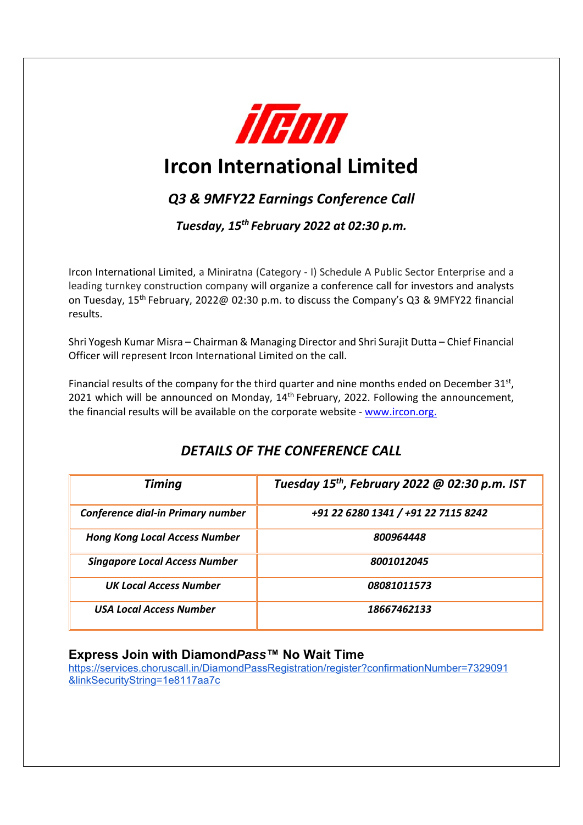

## **Ircon International Limited**

## *Q3 & 9MFY22 Earnings Conference Call*

*Tuesday, 15th February 2022 at 02:30 p.m.* 

Ircon International Limited, a Miniratna (Category ‐ I) Schedule A Public Sector Enterprise and a leading turnkey construction company will organize a conference call for investors and analysts on Tuesday, 15th February, 2022@ 02:30 p.m. to discuss the Company's Q3 & 9MFY22 financial results.

Shri Yogesh Kumar Misra – Chairman & Managing Director and Shri Surajit Dutta – Chief Financial Officer will represent Ircon International Limited on the call.

Financial results of the company for the third quarter and nine months ended on December  $31^{st}$ , 2021 which will be announced on Monday,  $14<sup>th</sup>$  February, 2022. Following the announcement, the financial results will be available on the corporate website ‐ www.ircon.org.

| <b>Timing</b>                        | Tuesday $15^{th}$ , February 2022 @ 02:30 p.m. IST |
|--------------------------------------|----------------------------------------------------|
| Conference dial-in Primary number    | +91 22 6280 1341 / +91 22 7115 8242                |
| <b>Hong Kong Local Access Number</b> | 800964448                                          |
| <b>Singapore Local Access Number</b> | 8001012045                                         |
| <b>UK Local Access Number</b>        | 08081011573                                        |
| <b>USA Local Access Number</b>       | 18667462133                                        |

## *DETAILS OF THE CONFERENCE CALL*

#### **Express Join with Diamond***Pass***™ No Wait Time**

https://services.choruscall.in/DiamondPassRegistration/register?confirmationNumber=7329091 &linkSecurityString=1e8117aa7c